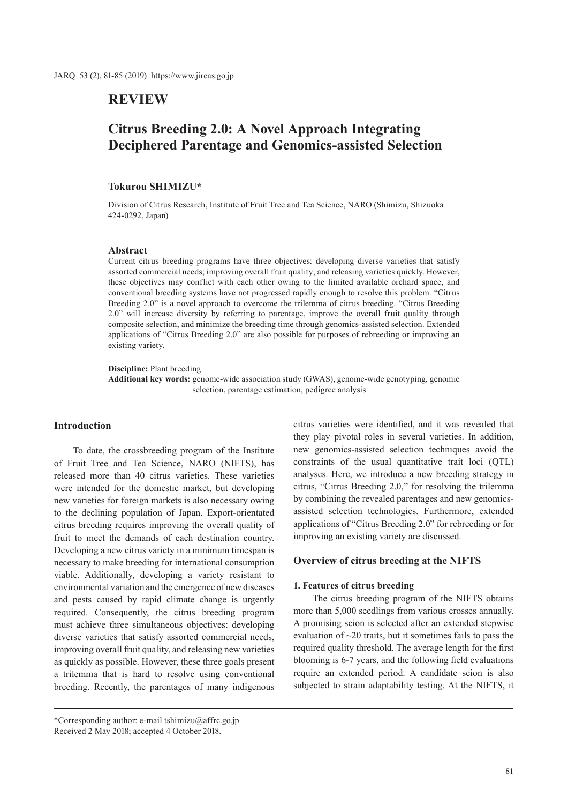## **REVIEW**

# **Citrus Breeding 2.0: A Novel Approach Integrating Deciphered Parentage and Genomics-assisted Selection**

## **Tokurou SHIMIZU\***

Division of Citrus Research, Institute of Fruit Tree and Tea Science, NARO (Shimizu, Shizuoka 424-0292, Japan)

#### **Abstract**

Current citrus breeding programs have three objectives: developing diverse varieties that satisfy assorted commercial needs; improving overall fruit quality; and releasing varieties quickly. However, these objectives may conflict with each other owing to the limited available orchard space, and conventional breeding systems have not progressed rapidly enough to resolve this problem. "Citrus Breeding 2.0" is a novel approach to overcome the trilemma of citrus breeding. "Citrus Breeding 2.0" will increase diversity by referring to parentage, improve the overall fruit quality through composite selection, and minimize the breeding time through genomics-assisted selection. Extended applications of "Citrus Breeding 2.0" are also possible for purposes of rebreeding or improving an existing variety.

**Discipline:** Plant breeding

**Additional key words:** genome-wide association study (GWAS), genome-wide genotyping, genomic selection, parentage estimation, pedigree analysis

## **Introduction**

To date, the crossbreeding program of the Institute of Fruit Tree and Tea Science, NARO (NIFTS), has released more than 40 citrus varieties. These varieties were intended for the domestic market, but developing new varieties for foreign markets is also necessary owing to the declining population of Japan. Export-orientated citrus breeding requires improving the overall quality of fruit to meet the demands of each destination country. Developing a new citrus variety in a minimum timespan is necessary to make breeding for international consumption viable. Additionally, developing a variety resistant to environmental variation and the emergence of new diseases and pests caused by rapid climate change is urgently required. Consequently, the citrus breeding program must achieve three simultaneous objectives: developing diverse varieties that satisfy assorted commercial needs, improving overall fruit quality, and releasing new varieties as quickly as possible. However, these three goals present a trilemma that is hard to resolve using conventional breeding. Recently, the parentages of many indigenous citrus varieties were identified, and it was revealed that they play pivotal roles in several varieties. In addition, new genomics-assisted selection techniques avoid the constraints of the usual quantitative trait loci (QTL) analyses. Here, we introduce a new breeding strategy in citrus, "Citrus Breeding 2.0," for resolving the trilemma by combining the revealed parentages and new genomicsassisted selection technologies. Furthermore, extended applications of "Citrus Breeding 2.0" for rebreeding or for improving an existing variety are discussed.

#### **Overview of citrus breeding at the NIFTS**

#### **1. Features of citrus breeding**

The citrus breeding program of the NIFTS obtains more than 5,000 seedlings from various crosses annually. A promising scion is selected after an extended stepwise evaluation of  $\sim$ 20 traits, but it sometimes fails to pass the required quality threshold. The average length for the first blooming is 6-7 years, and the following field evaluations require an extended period. A candidate scion is also subjected to strain adaptability testing. At the NIFTS, it

<sup>\*</sup>Corresponding author: e-mail tshimizu@affrc.go.jp Received 2 May 2018; accepted 4 October 2018.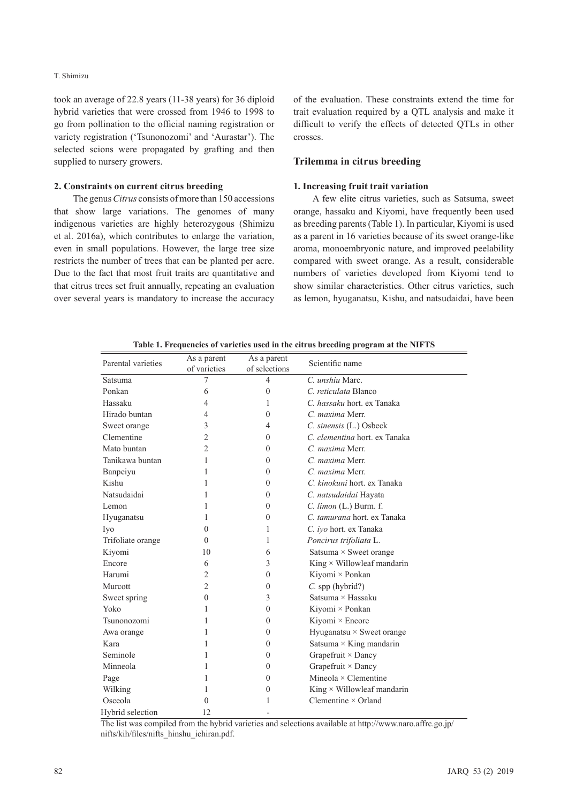took an average of 22.8 years (11-38 years) for 36 diploid hybrid varieties that were crossed from 1946 to 1998 to go from pollination to the official naming registration or variety registration ('Tsunonozomi' and 'Aurastar'). The selected scions were propagated by grafting and then supplied to nursery growers.

#### **2. Constraints on current citrus breeding**

The genus *Citrus* consists of more than 150 accessions that show large variations. The genomes of many indigenous varieties are highly heterozygous (Shimizu et al. 2016a), which contributes to enlarge the variation, even in small populations. However, the large tree size restricts the number of trees that can be planted per acre. Due to the fact that most fruit traits are quantitative and that citrus trees set fruit annually, repeating an evaluation over several years is mandatory to increase the accuracy of the evaluation. These constraints extend the time for trait evaluation required by a QTL analysis and make it difficult to verify the effects of detected QTLs in other crosses.

## **Trilemma in citrus breeding**

#### **1. Increasing fruit trait variation**

A few elite citrus varieties, such as Satsuma, sweet orange, hassaku and Kiyomi, have frequently been used as breeding parents (Table 1). In particular, Kiyomi is used as a parent in 16 varieties because of its sweet orange-like aroma, monoembryonic nature, and improved peelability compared with sweet orange. As a result, considerable numbers of varieties developed from Kiyomi tend to show similar characteristics. Other citrus varieties, such as lemon, hyuganatsu, Kishu, and natsudaidai, have been

| we as a requested of various about in the citrus securing program at the third s |                             |                              |                                   |
|----------------------------------------------------------------------------------|-----------------------------|------------------------------|-----------------------------------|
| Parental varieties                                                               | As a parent<br>of varieties | As a parent<br>of selections | Scientific name                   |
| Satsuma                                                                          | 7                           | $\overline{4}$               | C. unshiu Marc.                   |
| Ponkan                                                                           | 6                           | $\theta$                     | C. reticulata Blanco              |
| Hassaku                                                                          | 4                           | 1                            | C. hassaku hort. ex Tanaka        |
| Hirado buntan                                                                    | 4                           | $\theta$                     | C. maxima Merr.                   |
| Sweet orange                                                                     | 3                           | $\overline{4}$               | C. sinensis (L.) Osbeck           |
| Clementine                                                                       | $\overline{2}$              | $\Omega$                     | C. clementina hort. ex Tanaka     |
| Mato buntan                                                                      | 2                           | $\Omega$                     | C. maxima Merr.                   |
| Tanikawa buntan                                                                  | 1                           | $\overline{0}$               | C. maxima Merr.                   |
| Banpeiyu                                                                         | 1                           | $\theta$                     | C. maxima Merr.                   |
| Kishu                                                                            | 1                           | $\Omega$                     | C. kinokuni hort. ex Tanaka       |
| Natsudaidai                                                                      | 1                           | $\theta$                     | C. natsudaidai Hayata             |
| Lemon                                                                            | 1                           | $\theta$                     | C. limon (L.) Burm. f.            |
| Hyuganatsu                                                                       | 1                           | $\theta$                     | C. tamurana hort. ex Tanaka       |
| Iyo                                                                              | $\Omega$                    | 1                            | C. iyo hort. ex Tanaka            |
| Trifoliate orange                                                                | $\Omega$                    | 1                            | Poncirus trifoliata L.            |
| Kiyomi                                                                           | 10                          | 6                            | Satsuma $\times$ Sweet orange     |
| Encore                                                                           | 6                           | 3                            | King $\times$ Willowleaf mandarin |
| Harumi                                                                           | $\overline{c}$              | $\mathbf{0}$                 | Kiyomi × Ponkan                   |
| Murcott                                                                          | $\overline{2}$              | $\mathbf{0}$                 | $C.$ spp (hybrid?)                |
| Sweet spring                                                                     | $\theta$                    | 3                            | Satsuma × Hassaku                 |
| Yoko                                                                             | 1                           | $\Omega$                     | Kiyomi × Ponkan                   |
| Tsunonozomi                                                                      | 1                           | $\Omega$                     | Kiyomi × Encore                   |
| Awa orange                                                                       | 1                           | $\mathbf{0}$                 | Hyuganatsu × Sweet orange         |
| Kara                                                                             | 1                           | $\overline{0}$               | Satsuma $\times$ King mandarin    |
| Seminole                                                                         | 1                           | $\Omega$                     | Grapefruit $\times$ Dancy         |
| Minneola                                                                         | 1                           | $\theta$                     | Grapefruit $\times$ Dancy         |
| Page                                                                             | 1                           | $\theta$                     | Mineola $\times$ Clementine       |
| Wilking                                                                          | 1                           | $\Omega$                     | King $\times$ Willowleaf mandarin |
| Osceola                                                                          | $\theta$                    | 1                            | Clementine $\times$ Orland        |
| Hybrid selection                                                                 | 12                          |                              |                                   |

**Table 1. Frequencies of varieties used in the citrus breeding program at the NIFTS**

The list was compiled from the hybrid varieties and selections available at http://www.naro.affrc.go.jp/ nifts/kih/files/nifts\_hinshu\_ichiran.pdf.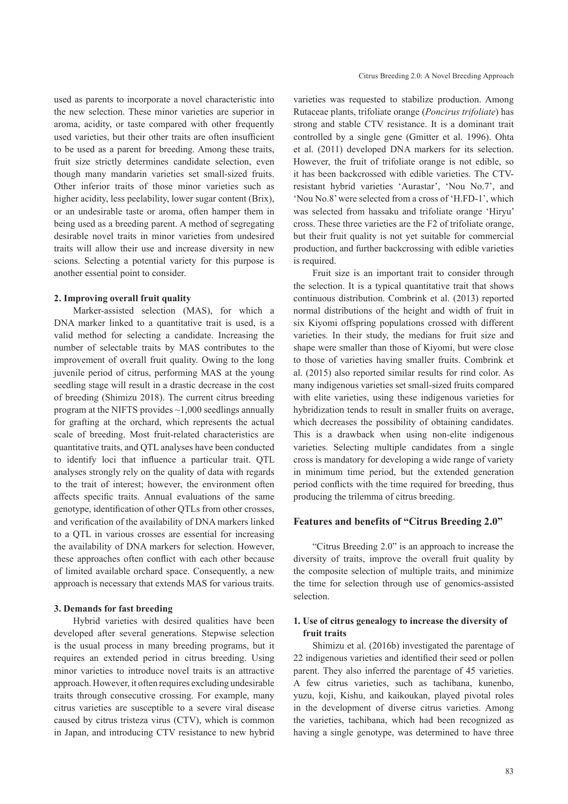used as parents to incorporate a novel characteristic into the new selection. These minor varieties are superior in aroma, acidity, or taste compared with other frequently used varieties, but their other traits are often insufficient to be used as a parent for breeding. Among these traits, fruit size strictly determines candidate selection, even though many mandarin varieties set small-sized fruits. Other inferior traits of those minor varieties such as higher acidity, less peelability, lower sugar content (Brix), or an undesirable taste or aroma, often hamper them in being used as a breeding parent. A method of segregating desirable novel traits in minor varieties from undesired traits will allow their use and increase diversity in new scions. Selecting a potential variety for this purpose is another essential point to consider.

#### **2. Improving overall fruit quality**

Marker-assisted selection (MAS), for which a DNA marker linked to a quantitative trait is used, is a valid method for selecting a candidate. Increasing the number of selectable traits by MAS contributes to the improvement of overall fruit quality. Owing to the long juvenile period of citrus, performing MAS at the young seedling stage will result in a drastic decrease in the cost of breeding (Shimizu 2018). The current citrus breeding program at the NIFTS provides ~1,000 seedlings annually for grafting at the orchard, which represents the actual scale of breeding. Most fruit-related characteristics are quantitative traits, and QTL analyses have been conducted to identify loci that influence a particular trait. QTL analyses strongly rely on the quality of data with regards to the trait of interest; however, the environment often affects specific traits. Annual evaluations of the same genotype, identification of other QTLs from other crosses, and verification of the availability of DNA markers linked to a QTL in various crosses are essential for increasing the availability of DNA markers for selection. However, these approaches often conflict with each other because of limited available orchard space. Consequently, a new approach is necessary that extends MAS for various traits.

#### **3. Demands for fast breeding**

Hybrid varieties with desired qualities have been developed after several generations. Stepwise selection is the usual process in many breeding programs, but it requires an extended period in citrus breeding. Using minor varieties to introduce novel traits is an attractive approach. However, it often requires excluding undesirable traits through consecutive crossing. For example, many citrus varieties are susceptible to a severe viral disease caused by citrus tristeza virus (CTV), which is common in Japan, and introducing CTV resistance to new hybrid varieties was requested to stabilize production. Among Rutaceae plants, trifoliate orange (*Poncirus trifoliate*) has strong and stable CTV resistance. It is a dominant trait controlled by a single gene (Gmitter et al. 1996). Ohta et al. (2011) developed DNA markers for its selection. However, the fruit of trifoliate orange is not edible, so it has been backcrossed with edible varieties. The CTVresistant hybrid varieties 'Aurastar', 'Nou No.7', and 'Nou No.8' were selected from a cross of 'H.FD-1', which was selected from hassaku and trifoliate orange 'Hiryu' cross. These three varieties are the F2 of trifoliate orange, but their fruit quality is not yet suitable for commercial production, and further backcrossing with edible varieties is required.

Fruit size is an important trait to consider through the selection. It is a typical quantitative trait that shows continuous distribution. Combrink et al. (2013) reported normal distributions of the height and width of fruit in six Kiyomi offspring populations crossed with different varieties. In their study, the medians for fruit size and shape were smaller than those of Kiyomi, but were close to those of varieties having smaller fruits. Combrink et al. (2015) also reported similar results for rind color. As many indigenous varieties set small-sized fruits compared with elite varieties, using these indigenous varieties for hybridization tends to result in smaller fruits on average, which decreases the possibility of obtaining candidates. This is a drawback when using non-elite indigenous varieties. Selecting multiple candidates from a single cross is mandatory for developing a wide range of variety in minimum time period, but the extended generation period conflicts with the time required for breeding, thus producing the trilemma of citrus breeding.

#### **Features and benefits of "Citrus Breeding 2.0"**

"Citrus Breeding 2.0" is an approach to increase the diversity of traits, improve the overall fruit quality by the composite selection of multiple traits, and minimize the time for selection through use of genomics-assisted selection.

## **1. Use of citrus genealogy to increase the diversity of fruit traits**

Shimizu et al. (2016b) investigated the parentage of 22 indigenous varieties and identified their seed or pollen parent. They also inferred the parentage of 45 varieties. A few citrus varieties, such as tachibana, kunenbo, yuzu, koji, Kishu, and kaikoukan, played pivotal roles in the development of diverse citrus varieties. Among the varieties, tachibana, which had been recognized as having a single genotype, was determined to have three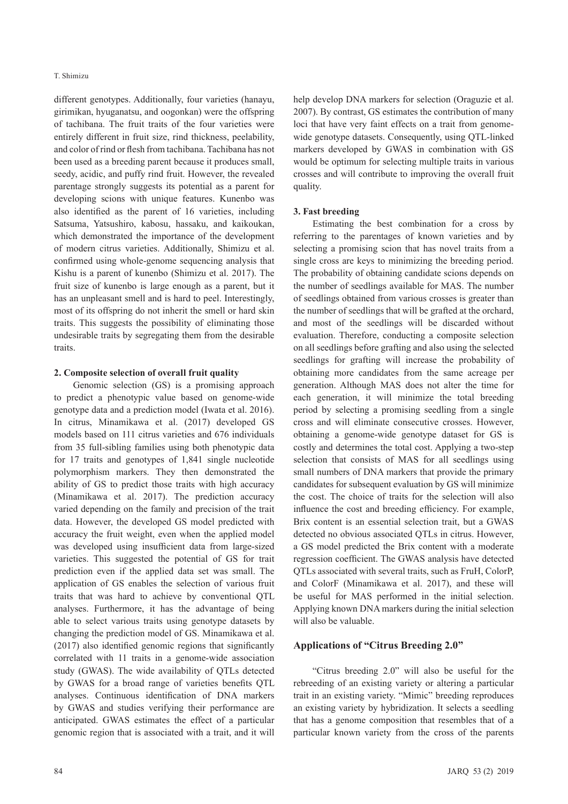#### T. Shimizu

different genotypes. Additionally, four varieties (hanayu, girimikan, hyuganatsu, and oogonkan) were the offspring of tachibana. The fruit traits of the four varieties were entirely different in fruit size, rind thickness, peelability, and color of rind or flesh from tachibana. Tachibana has not been used as a breeding parent because it produces small, seedy, acidic, and puffy rind fruit. However, the revealed parentage strongly suggests its potential as a parent for developing scions with unique features. Kunenbo was also identified as the parent of 16 varieties, including Satsuma, Yatsushiro, kabosu, hassaku, and kaikoukan, which demonstrated the importance of the development of modern citrus varieties. Additionally, Shimizu et al. confirmed using whole-genome sequencing analysis that Kishu is a parent of kunenbo (Shimizu et al. 2017). The fruit size of kunenbo is large enough as a parent, but it has an unpleasant smell and is hard to peel. Interestingly, most of its offspring do not inherit the smell or hard skin traits. This suggests the possibility of eliminating those undesirable traits by segregating them from the desirable traits.

## **2. Composite selection of overall fruit quality**

Genomic selection (GS) is a promising approach to predict a phenotypic value based on genome-wide genotype data and a prediction model (Iwata et al. 2016). In citrus, Minamikawa et al. (2017) developed GS models based on 111 citrus varieties and 676 individuals from 35 full-sibling families using both phenotypic data for 17 traits and genotypes of 1,841 single nucleotide polymorphism markers. They then demonstrated the ability of GS to predict those traits with high accuracy (Minamikawa et al. 2017). The prediction accuracy varied depending on the family and precision of the trait data. However, the developed GS model predicted with accuracy the fruit weight, even when the applied model was developed using insufficient data from large-sized varieties. This suggested the potential of GS for trait prediction even if the applied data set was small. The application of GS enables the selection of various fruit traits that was hard to achieve by conventional QTL analyses. Furthermore, it has the advantage of being able to select various traits using genotype datasets by changing the prediction model of GS. Minamikawa et al. (2017) also identified genomic regions that significantly correlated with 11 traits in a genome-wide association study (GWAS). The wide availability of QTLs detected by GWAS for a broad range of varieties benefits QTL analyses. Continuous identification of DNA markers by GWAS and studies verifying their performance are anticipated. GWAS estimates the effect of a particular genomic region that is associated with a trait, and it will

help develop DNA markers for selection (Oraguzie et al. 2007). By contrast, GS estimates the contribution of many loci that have very faint effects on a trait from genomewide genotype datasets. Consequently, using QTL-linked markers developed by GWAS in combination with GS would be optimum for selecting multiple traits in various crosses and will contribute to improving the overall fruit quality.

## **3. Fast breeding**

Estimating the best combination for a cross by referring to the parentages of known varieties and by selecting a promising scion that has novel traits from a single cross are keys to minimizing the breeding period. The probability of obtaining candidate scions depends on the number of seedlings available for MAS. The number of seedlings obtained from various crosses is greater than the number of seedlings that will be grafted at the orchard, and most of the seedlings will be discarded without evaluation. Therefore, conducting a composite selection on all seedlings before grafting and also using the selected seedlings for grafting will increase the probability of obtaining more candidates from the same acreage per generation. Although MAS does not alter the time for each generation, it will minimize the total breeding period by selecting a promising seedling from a single cross and will eliminate consecutive crosses. However, obtaining a genome-wide genotype dataset for GS is costly and determines the total cost. Applying a two-step selection that consists of MAS for all seedlings using small numbers of DNA markers that provide the primary candidates for subsequent evaluation by GS will minimize the cost. The choice of traits for the selection will also influence the cost and breeding efficiency. For example, Brix content is an essential selection trait, but a GWAS detected no obvious associated QTLs in citrus. However, a GS model predicted the Brix content with a moderate regression coefficient. The GWAS analysis have detected QTLs associated with several traits, such as FruH, ColorP, and ColorF (Minamikawa et al. 2017), and these will be useful for MAS performed in the initial selection. Applying known DNA markers during the initial selection will also be valuable.

## **Applications of "Citrus Breeding 2.0"**

"Citrus breeding 2.0" will also be useful for the rebreeding of an existing variety or altering a particular trait in an existing variety. "Mimic" breeding reproduces an existing variety by hybridization. It selects a seedling that has a genome composition that resembles that of a particular known variety from the cross of the parents